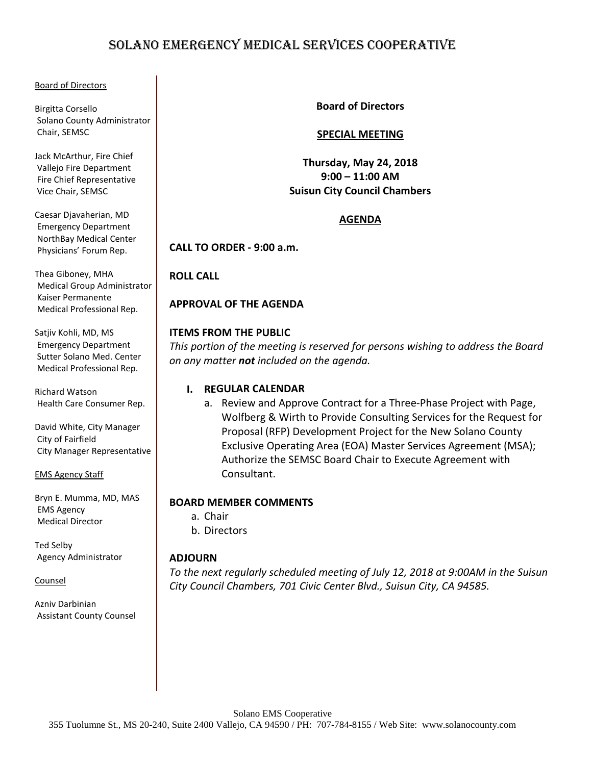# SOLANO EMERGENCY MEDICAL SERVICES COOPERATIVE

#### Board of Directors

Birgitta Corsello Solano County Administrator Chair, SEMSC

Jack McArthur, Fire Chief Vallejo Fire Department Fire Chief Representative Vice Chair, SEMSC

Caesar Djavaherian, MD Emergency Department NorthBay Medical Center Physicians' Forum Rep.

Thea Giboney, MHA Medical Group Administrator Kaiser Permanente Medical Professional Rep.

Satjiv Kohli, MD, MS Emergency Department Sutter Solano Med. Center Medical Professional Rep.

Richard Watson Health Care Consumer Rep.

David White, City Manager City of Fairfield City Manager Representative

EMS Agency Staff

Bryn E. Mumma, MD, MAS EMS Agency Medical Director

Ted Selby Agency Administrator

Counsel

Azniv Darbinian Assistant County Counsel **Board of Directors**

# **SPECIAL MEETING**

**Thursday, May 24, 2018 9:00 – 11:00 AM Suisun City Council Chambers**

# **AGENDA**

**CALL TO ORDER - 9:00 a.m.**

**ROLL CALL** 

**APPROVAL OF THE AGENDA**

# **ITEMS FROM THE PUBLIC**

*This portion of the meeting is reserved for persons wishing to address the Board on any matter not included on the agenda.* 

# **I. REGULAR CALENDAR**

a. Review and Approve Contract for a Three-Phase Project with Page, Wolfberg & Wirth to Provide Consulting Services for the Request for Proposal (RFP) Development Project for the New Solano County Exclusive Operating Area (EOA) Master Services Agreement (MSA); Authorize the SEMSC Board Chair to Execute Agreement with Consultant.

# **BOARD MEMBER COMMENTS**

```
a. Chair
b. Directors
```
# **ADJOURN**

*To the next regularly scheduled meeting of July 12, 2018 at 9:00AM in the Suisun City Council Chambers, 701 Civic Center Blvd., Suisun City, CA 94585.*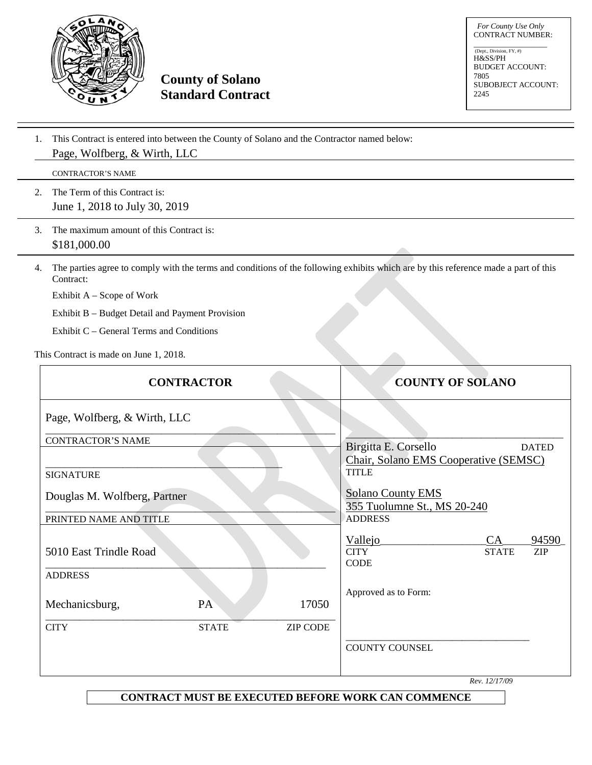

**County of Solano Standard Contract**

 *For County Use Only*  CONTRACT NUMBER:

\_\_\_\_\_\_\_\_\_\_\_\_\_\_\_\_\_\_\_ (Dept., Division, FY, #) H&SS/PH BUDGET ACCOUNT: 7805 SUBOBJECT ACCOUNT: 2245

1. This Contract is entered into between the County of Solano and the Contractor named below: Page, Wolfberg, & Wirth, LLC

CONTRACTOR'S NAME

- 2. The Term of this Contract is: June 1, 2018 to July 30, 2019
- 3. The maximum amount of this Contract is: \$181,000.00
- 4. The parties agree to comply with the terms and conditions of the following exhibits which are by this reference made a part of this Contract:

Exhibit A – Scope of Work

Exhibit B – Budget Detail and Payment Provision

Exhibit C – General Terms and Conditions

This Contract is made on June 1, 2018.

| <b>CONTRACTOR</b>            |              |                 | <b>COUNTY OF SOLANO</b>                                 |                              |                     |
|------------------------------|--------------|-----------------|---------------------------------------------------------|------------------------------|---------------------|
| Page, Wolfberg, & Wirth, LLC |              |                 |                                                         |                              |                     |
| <b>CONTRACTOR'S NAME</b>     |              |                 | Birgitta E. Corsello                                    |                              | <b>DATED</b>        |
| <b>SIGNATURE</b>             |              |                 | Chair, Solano EMS Cooperative (SEMSC)<br><b>TITLE</b>   |                              |                     |
| Douglas M. Wolfberg, Partner |              |                 | <b>Solano County EMS</b><br>355 Tuolumne St., MS 20-240 |                              |                     |
| PRINTED NAME AND TITLE       |              |                 | <b>ADDRESS</b>                                          |                              |                     |
| 5010 East Trindle Road       |              |                 | Vallejo<br><b>CITY</b><br><b>CODE</b>                   | CA<br><b>STATE</b>           | 94590<br><b>ZIP</b> |
| <b>ADDRESS</b>               |              |                 |                                                         |                              |                     |
| Mechanicsburg,               | PA           | 17050           | Approved as to Form:                                    |                              |                     |
| <b>CITY</b>                  | <b>STATE</b> | <b>ZIP CODE</b> |                                                         |                              |                     |
|                              |              |                 | <b>COUNTY COUNSEL</b>                                   | $D_{\text{eq}}$ , $12/17/00$ |                     |

*Rev. 12/17/09*

**CONTRACT MUST BE EXECUTED BEFORE WORK CAN COMMENCE**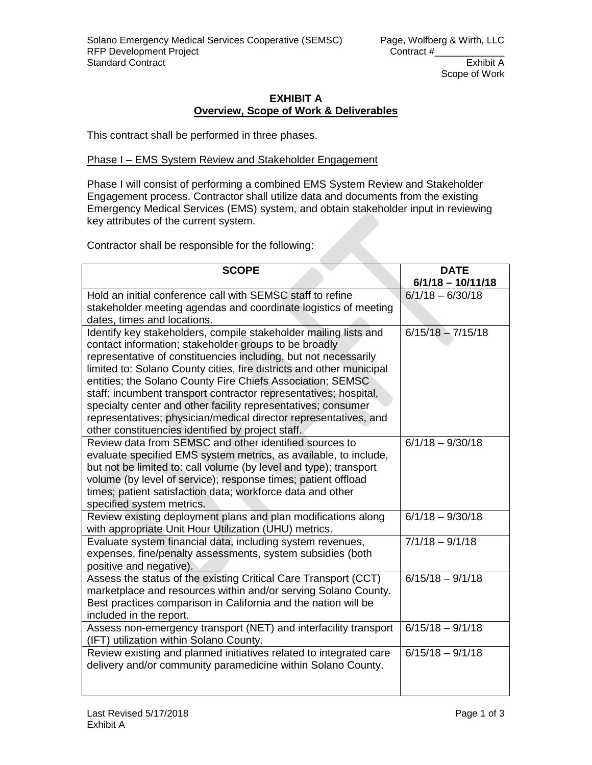# **EXHIBIT A Overview, Scope of Work & Deliverables**

This contract shall be performed in three phases.

# Phase I – EMS System Review and Stakeholder Engagement

Phase I will consist of performing a combined EMS System Review and Stakeholder Engagement process. Contractor shall utilize data and documents from the existing Emergency Medical Services (EMS) system, and obtain stakeholder input in reviewing key attributes of the current system.

Contractor shall be responsible for the following:

| <b>SCOPE</b>                                                                                                                       | <b>DATE</b><br>$6/1/18 - 10/11/18$ |
|------------------------------------------------------------------------------------------------------------------------------------|------------------------------------|
| Hold an initial conference call with SEMSC staff to refine                                                                         | $6/1/18 - 6/30/18$                 |
| stakeholder meeting agendas and coordinate logistics of meeting                                                                    |                                    |
| dates, times and locations.                                                                                                        |                                    |
| Identify key stakeholders, compile stakeholder mailing lists and                                                                   | $6/15/18 - 7/15/18$                |
| contact information; stakeholder groups to be broadly                                                                              |                                    |
| representative of constituencies including, but not necessarily                                                                    |                                    |
| limited to: Solano County cities, fire districts and other municipal                                                               |                                    |
| entities; the Solano County Fire Chiefs Association; SEMSC                                                                         |                                    |
| staff; incumbent transport contractor representatives; hospital,                                                                   |                                    |
| specialty center and other facility representatives; consumer                                                                      |                                    |
| representatives; physician/medical director representatives, and                                                                   |                                    |
| other constituencies identified by project staff.                                                                                  |                                    |
| Review data from SEMSC and other identified sources to                                                                             | $6/1/18 - 9/30/18$                 |
| evaluate specified EMS system metrics, as available, to include,                                                                   |                                    |
| but not be limited to: call volume (by level and type); transport                                                                  |                                    |
| volume (by level of service); response times; patient offload<br>times; patient satisfaction data; workforce data and other        |                                    |
| specified system metrics.                                                                                                          |                                    |
| Review existing deployment plans and plan modifications along                                                                      | $6/1/18 - 9/30/18$                 |
| with appropriate Unit Hour Utilization (UHU) metrics.                                                                              |                                    |
| Evaluate system financial data, including system revenues,                                                                         | $7/1/18 - 9/1/18$                  |
| expenses, fine/penalty assessments, system subsidies (both                                                                         |                                    |
| positive and negative).                                                                                                            |                                    |
| Assess the status of the existing Critical Care Transport (CCT)                                                                    | $6/15/18 - 9/1/18$                 |
| marketplace and resources within and/or serving Solano County.                                                                     |                                    |
| Best practices comparison in California and the nation will be                                                                     |                                    |
| included in the report.                                                                                                            |                                    |
| Assess non-emergency transport (NET) and interfacility transport                                                                   | $6/15/18 - 9/1/18$                 |
| (IFT) utilization within Solano County.                                                                                            | $6/15/18 - 9/1/18$                 |
| Review existing and planned initiatives related to integrated care<br>delivery and/or community paramedicine within Solano County. |                                    |
|                                                                                                                                    |                                    |
|                                                                                                                                    |                                    |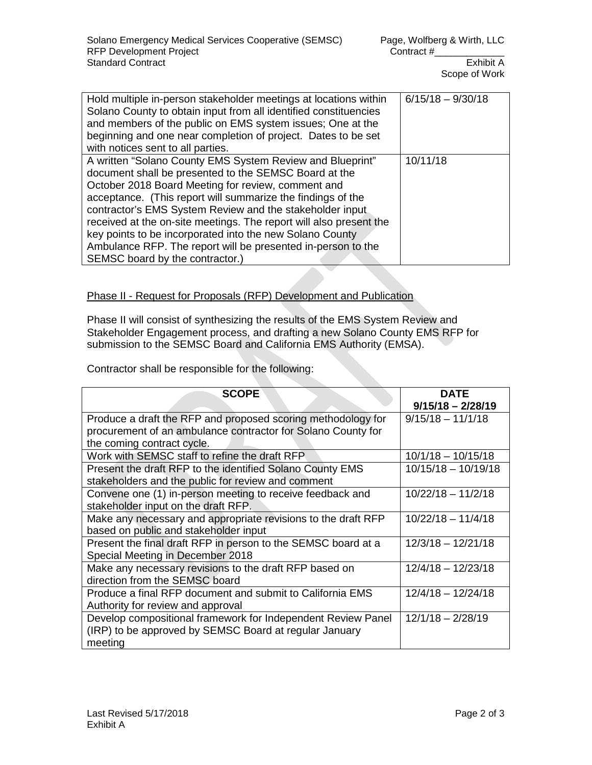| Hold multiple in-person stakeholder meetings at locations within<br>Solano County to obtain input from all identified constituencies<br>and members of the public on EMS system issues; One at the<br>beginning and one near completion of project. Dates to be set<br>with notices sent to all parties.                                                                                                                                                                                                                                 | $6/15/18 - 9/30/18$ |
|------------------------------------------------------------------------------------------------------------------------------------------------------------------------------------------------------------------------------------------------------------------------------------------------------------------------------------------------------------------------------------------------------------------------------------------------------------------------------------------------------------------------------------------|---------------------|
| A written "Solano County EMS System Review and Blueprint"<br>document shall be presented to the SEMSC Board at the<br>October 2018 Board Meeting for review, comment and<br>acceptance. (This report will summarize the findings of the<br>contractor's EMS System Review and the stakeholder input<br>received at the on-site meetings. The report will also present the<br>key points to be incorporated into the new Solano County<br>Ambulance RFP. The report will be presented in-person to the<br>SEMSC board by the contractor.) | 10/11/18            |

# Phase II - Request for Proposals (RFP) Development and Publication

Phase II will consist of synthesizing the results of the EMS System Review and Stakeholder Engagement process, and drafting a new Solano County EMS RFP for submission to the SEMSC Board and California EMS Authority (EMSA).

Contractor shall be responsible for the following:

| <b>SCOPE</b>                                                  | <b>DATE</b><br>$9/15/18 - 2/28/19$ |
|---------------------------------------------------------------|------------------------------------|
| Produce a draft the RFP and proposed scoring methodology for  | $9/15/18 - 11/1/18$                |
| procurement of an ambulance contractor for Solano County for  |                                    |
| the coming contract cycle.                                    |                                    |
| Work with SEMSC staff to refine the draft RFP.                | $10/1/18 - 10/15/18$               |
| Present the draft RFP to the identified Solano County EMS     | $10/15/18 - 10/19/18$              |
| stakeholders and the public for review and comment            |                                    |
| Convene one (1) in-person meeting to receive feedback and     | $10/22/18 - 11/2/18$               |
| stakeholder input on the draft RFP.                           |                                    |
| Make any necessary and appropriate revisions to the draft RFP | $10/22/18 - 11/4/18$               |
| based on public and stakeholder input                         |                                    |
| Present the final draft RFP in person to the SEMSC board at a | $12/3/18 - 12/21/18$               |
| Special Meeting in December 2018                              |                                    |
| Make any necessary revisions to the draft RFP based on        | $12/4/18 - 12/23/18$               |
| direction from the SEMSC board                                |                                    |
| Produce a final RFP document and submit to California EMS     | $12/4/18 - 12/24/18$               |
| Authority for review and approval                             |                                    |
| Develop compositional framework for Independent Review Panel  | $12/1/18 - 2/28/19$                |
| (IRP) to be approved by SEMSC Board at regular January        |                                    |
| meeting                                                       |                                    |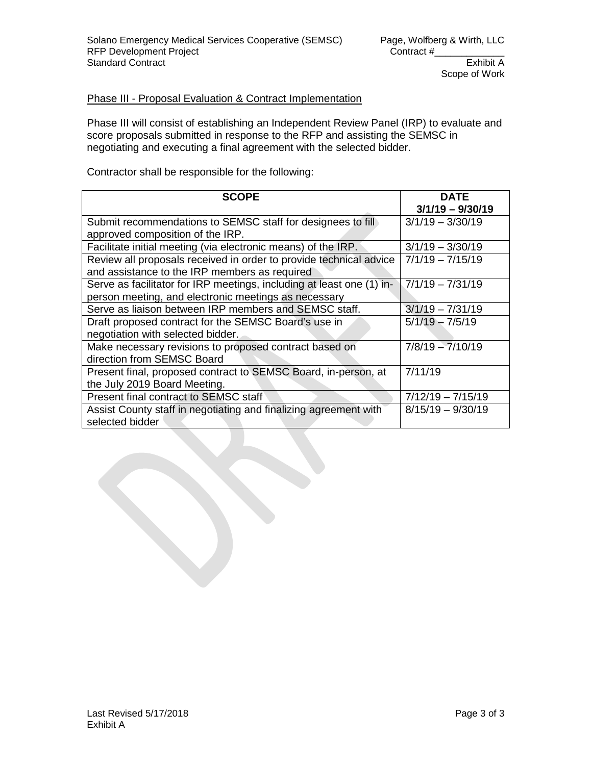# Phase III - Proposal Evaluation & Contract Implementation

Phase III will consist of establishing an Independent Review Panel (IRP) to evaluate and score proposals submitted in response to the RFP and assisting the SEMSC in negotiating and executing a final agreement with the selected bidder.

Contractor shall be responsible for the following:

| <b>SCOPE</b>                                                          | <b>DATE</b><br>$3/1/19 - 9/30/19$ |
|-----------------------------------------------------------------------|-----------------------------------|
| Submit recommendations to SEMSC staff for designees to fill           | $3/1/19 - 3/30/19$                |
| approved composition of the IRP.                                      |                                   |
| Facilitate initial meeting (via electronic means) of the IRP.         | $3/1/19 - 3/30/19$                |
| Review all proposals received in order to provide technical advice    | $7/1/19 - 7/15/19$                |
| and assistance to the IRP members as required                         |                                   |
| Serve as facilitator for IRP meetings, including at least one (1) in- | $7/1/19 - 7/31/19$                |
| person meeting, and electronic meetings as necessary                  |                                   |
| Serve as liaison between IRP members and SEMSC staff.                 | $3/1/19 - 7/31/19$                |
| Draft proposed contract for the SEMSC Board's use in                  | $5/1/19 - 7/5/19$                 |
| negotiation with selected bidder.                                     |                                   |
| Make necessary revisions to proposed contract based on                | $7/8/19 - 7/10/19$                |
| direction from SEMSC Board                                            |                                   |
| Present final, proposed contract to SEMSC Board, in-person, at        | 7/11/19                           |
| the July 2019 Board Meeting.                                          |                                   |
| Present final contract to SEMSC staff                                 | $7/12/19 - 7/15/19$               |
| Assist County staff in negotiating and finalizing agreement with      | $8/15/19 - 9/30/19$               |
| selected bidder                                                       |                                   |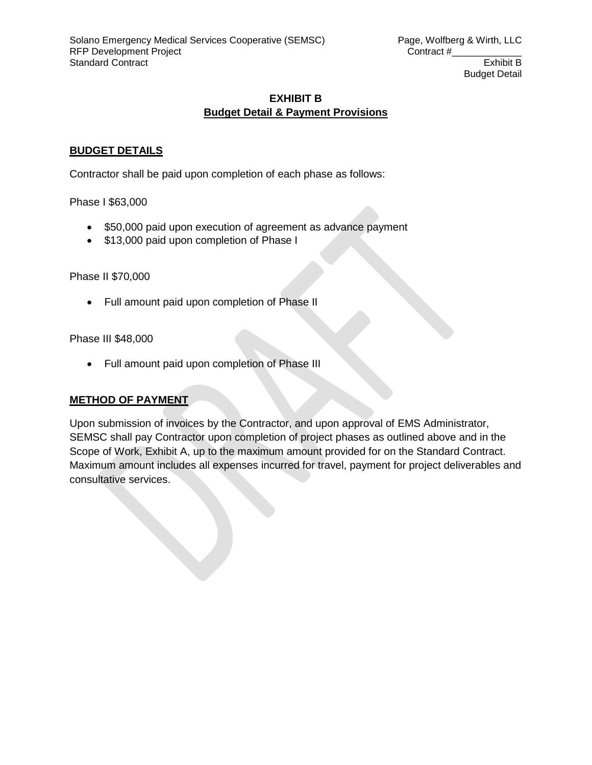# **EXHIBIT B Budget Detail & Payment Provisions**

# **BUDGET DETAILS**

Contractor shall be paid upon completion of each phase as follows:

Phase I \$63,000

- \$50,000 paid upon execution of agreement as advance payment
- \$13,000 paid upon completion of Phase I

Phase II \$70,000

• Full amount paid upon completion of Phase II

Phase III \$48,000

• Full amount paid upon completion of Phase III

# **METHOD OF PAYMENT**

Upon submission of invoices by the Contractor, and upon approval of EMS Administrator, SEMSC shall pay Contractor upon completion of project phases as outlined above and in the Scope of Work, Exhibit A, up to the maximum amount provided for on the Standard Contract. Maximum amount includes all expenses incurred for travel, payment for project deliverables and consultative services.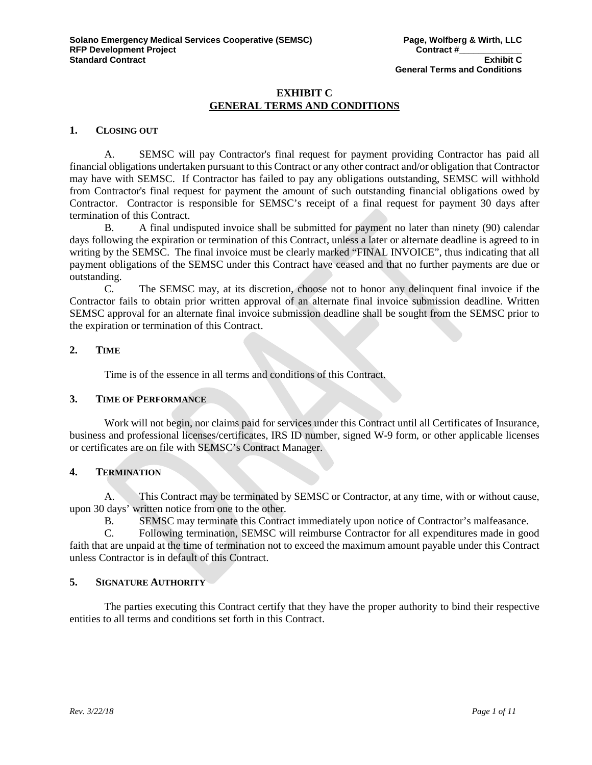# **EXHIBIT C GENERAL TERMS AND CONDITIONS**

# **1. CLOSING OUT**

A. SEMSC will pay Contractor's final request for payment providing Contractor has paid all financial obligations undertaken pursuant to this Contract or any other contract and/or obligation that Contractor may have with SEMSC. If Contractor has failed to pay any obligations outstanding, SEMSC will withhold from Contractor's final request for payment the amount of such outstanding financial obligations owed by Contractor. Contractor is responsible for SEMSC's receipt of a final request for payment 30 days after termination of this Contract.

B. A final undisputed invoice shall be submitted for payment no later than ninety (90) calendar days following the expiration or termination of this Contract, unless a later or alternate deadline is agreed to in writing by the SEMSC. The final invoice must be clearly marked "FINAL INVOICE", thus indicating that all payment obligations of the SEMSC under this Contract have ceased and that no further payments are due or outstanding.

C. The SEMSC may, at its discretion, choose not to honor any delinquent final invoice if the Contractor fails to obtain prior written approval of an alternate final invoice submission deadline. Written SEMSC approval for an alternate final invoice submission deadline shall be sought from the SEMSC prior to the expiration or termination of this Contract.

#### **2. TIME**

Time is of the essence in all terms and conditions of this Contract.

# **3. TIME OF PERFORMANCE**

Work will not begin, nor claims paid for services under this Contract until all Certificates of Insurance, business and professional licenses/certificates, IRS ID number, signed W-9 form, or other applicable licenses or certificates are on file with SEMSC's Contract Manager.

# **4. TERMINATION**

A. This Contract may be terminated by SEMSC or Contractor, at any time, with or without cause, upon 30 days' written notice from one to the other.

B. SEMSC may terminate this Contract immediately upon notice of Contractor's malfeasance.

C. Following termination, SEMSC will reimburse Contractor for all expenditures made in good faith that are unpaid at the time of termination not to exceed the maximum amount payable under this Contract unless Contractor is in default of this Contract.

# **5. SIGNATURE AUTHORITY**

The parties executing this Contract certify that they have the proper authority to bind their respective entities to all terms and conditions set forth in this Contract.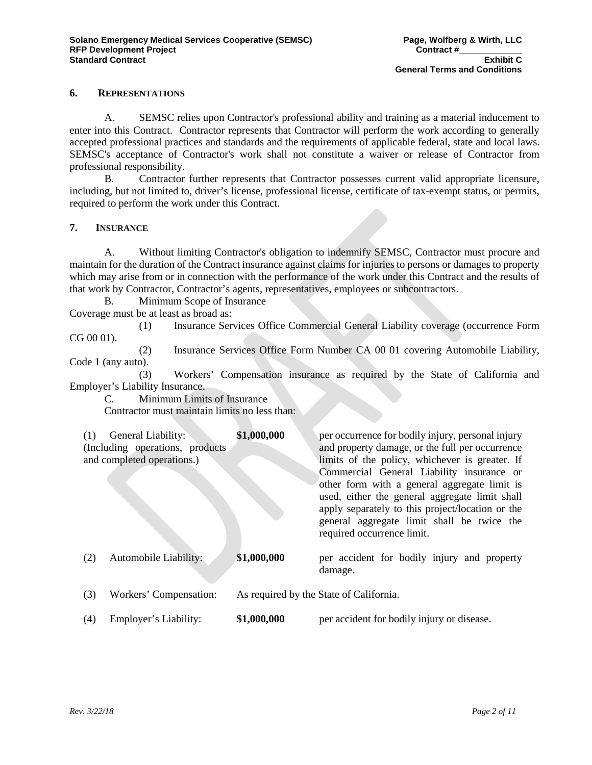# **6. REPRESENTATIONS**

A. SEMSC relies upon Contractor's professional ability and training as a material inducement to enter into this Contract. Contractor represents that Contractor will perform the work according to generally accepted professional practices and standards and the requirements of applicable federal, state and local laws. SEMSC's acceptance of Contractor's work shall not constitute a waiver or release of Contractor from professional responsibility.

B. Contractor further represents that Contractor possesses current valid appropriate licensure, including, but not limited to, driver's license, professional license, certificate of tax-exempt status, or permits, required to perform the work under this Contract.

#### **7. INSURANCE**

A. Without limiting Contractor's obligation to indemnify SEMSC, Contractor must procure and maintain for the duration of the Contract insurance against claims for injuries to persons or damages to property which may arise from or in connection with the performance of the work under this Contract and the results of that work by Contractor, Contractor's agents, representatives, employees or subcontractors.

B. Minimum Scope of Insurance

Coverage must be at least as broad as:

(1) Insurance Services Office Commercial General Liability coverage (occurrence Form CG 00 01).

(2) Insurance Services Office Form Number CA 00 01 covering Automobile Liability, Code 1 (any auto).

(3) Workers' Compensation insurance as required by the State of California and Employer's Liability Insurance.

C. Minimum Limits of Insurance Contractor must maintain limits no less than:

| (1) | General Liability:<br>(Including operations, products)<br>and completed operations.) | \$1,000,000 | per occurrence for bodily injury, personal injury<br>and property damage, or the full per occurrence<br>limits of the policy, whichever is greater. If<br>Commercial General Liability insurance or<br>other form with a general aggregate limit is<br>used, either the general aggregate limit shall<br>apply separately to this project/location or the<br>general aggregate limit shall be twice the<br>required occurrence limit. |
|-----|--------------------------------------------------------------------------------------|-------------|---------------------------------------------------------------------------------------------------------------------------------------------------------------------------------------------------------------------------------------------------------------------------------------------------------------------------------------------------------------------------------------------------------------------------------------|
| (2) | Automobile Liability:                                                                | \$1,000,000 | per accident for bodily injury and property<br>damage.                                                                                                                                                                                                                                                                                                                                                                                |
| (3) | Workers' Compensation:                                                               |             | As required by the State of California.                                                                                                                                                                                                                                                                                                                                                                                               |
| (4) | Employer's Liability:                                                                | \$1,000,000 | per accident for bodily injury or disease.                                                                                                                                                                                                                                                                                                                                                                                            |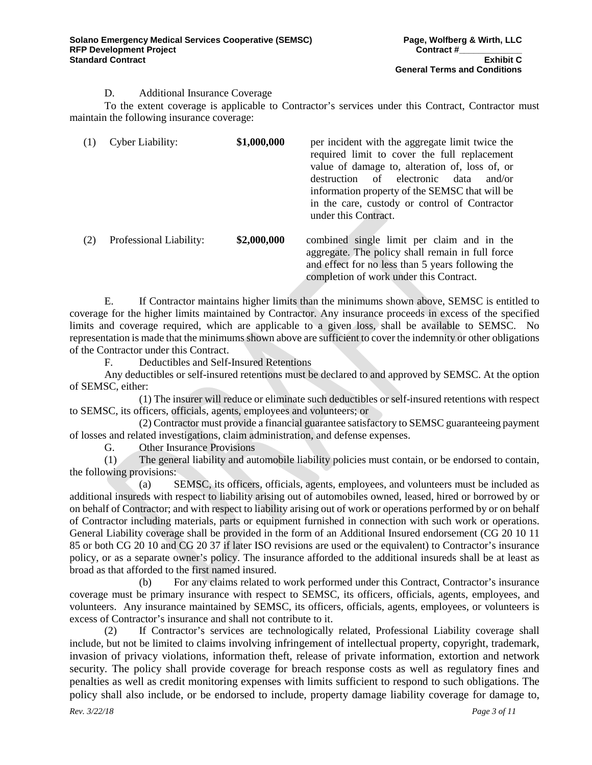### D. Additional Insurance Coverage

To the extent coverage is applicable to Contractor's services under this Contract, Contractor must maintain the following insurance coverage:

| (1) | Cyber Liability:        | \$1,000,000 | per incident with the aggregate limit twice the<br>required limit to cover the full replacement<br>value of damage to, alteration of, loss of, or<br>of electronic<br>data<br>destruction<br>and/or<br>information property of the SEMSC that will be<br>in the care, custody or control of Contractor<br>under this Contract. |
|-----|-------------------------|-------------|--------------------------------------------------------------------------------------------------------------------------------------------------------------------------------------------------------------------------------------------------------------------------------------------------------------------------------|
| (2) | Professional Liability: | \$2,000,000 | combined single limit per claim and in the<br>aggregate. The policy shall remain in full force<br>and effect for no less than 5 years following the<br>completion of work under this Contract.                                                                                                                                 |

E. If Contractor maintains higher limits than the minimums shown above, SEMSC is entitled to coverage for the higher limits maintained by Contractor. Any insurance proceeds in excess of the specified limits and coverage required, which are applicable to a given loss, shall be available to SEMSC. No representation is made that the minimums shown above are sufficient to cover the indemnity or other obligations of the Contractor under this Contract.

F. Deductibles and Self-Insured Retentions

Any deductibles or self-insured retentions must be declared to and approved by SEMSC. At the option of SEMSC, either:

(1) The insurer will reduce or eliminate such deductibles or self-insured retentions with respect to SEMSC, its officers, officials, agents, employees and volunteers; or

(2) Contractor must provide a financial guarantee satisfactory to SEMSC guaranteeing payment of losses and related investigations, claim administration, and defense expenses.

G. Other Insurance Provisions

(1) The general liability and automobile liability policies must contain, or be endorsed to contain, the following provisions:

(a) SEMSC, its officers, officials, agents, employees, and volunteers must be included as additional insureds with respect to liability arising out of automobiles owned, leased, hired or borrowed by or on behalf of Contractor; and with respect to liability arising out of work or operations performed by or on behalf of Contractor including materials, parts or equipment furnished in connection with such work or operations. General Liability coverage shall be provided in the form of an Additional Insured endorsement (CG 20 10 11 85 or both CG 20 10 and CG 20 37 if later ISO revisions are used or the equivalent) to Contractor's insurance policy, or as a separate owner's policy. The insurance afforded to the additional insureds shall be at least as broad as that afforded to the first named insured.

(b) For any claims related to work performed under this Contract, Contractor's insurance coverage must be primary insurance with respect to SEMSC, its officers, officials, agents, employees, and volunteers. Any insurance maintained by SEMSC, its officers, officials, agents, employees, or volunteers is excess of Contractor's insurance and shall not contribute to it.

(2) If Contractor's services are technologically related, Professional Liability coverage shall include, but not be limited to claims involving infringement of intellectual property, copyright, trademark, invasion of privacy violations, information theft, release of private information, extortion and network security. The policy shall provide coverage for breach response costs as well as regulatory fines and penalties as well as credit monitoring expenses with limits sufficient to respond to such obligations. The policy shall also include, or be endorsed to include, property damage liability coverage for damage to,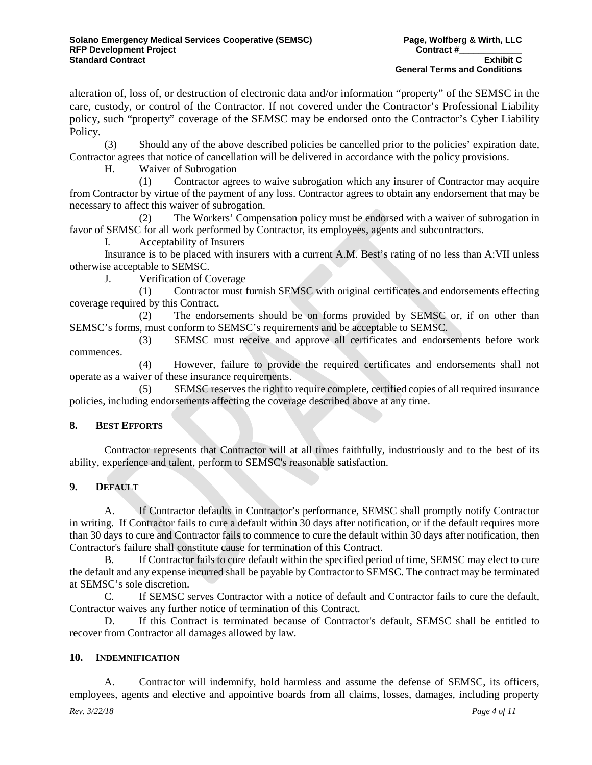alteration of, loss of, or destruction of electronic data and/or information "property" of the SEMSC in the care, custody, or control of the Contractor. If not covered under the Contractor's Professional Liability policy, such "property" coverage of the SEMSC may be endorsed onto the Contractor's Cyber Liability Policy.

(3) Should any of the above described policies be cancelled prior to the policies' expiration date, Contractor agrees that notice of cancellation will be delivered in accordance with the policy provisions.

H. Waiver of Subrogation

(1) Contractor agrees to waive subrogation which any insurer of Contractor may acquire from Contractor by virtue of the payment of any loss. Contractor agrees to obtain any endorsement that may be necessary to affect this waiver of subrogation.

(2) The Workers' Compensation policy must be endorsed with a waiver of subrogation in favor of SEMSC for all work performed by Contractor, its employees, agents and subcontractors.

I. Acceptability of Insurers

Insurance is to be placed with insurers with a current A.M. Best's rating of no less than A:VII unless otherwise acceptable to SEMSC.

J. Verification of Coverage

(1) Contractor must furnish SEMSC with original certificates and endorsements effecting coverage required by this Contract.

(2) The endorsements should be on forms provided by SEMSC or, if on other than SEMSC's forms, must conform to SEMSC's requirements and be acceptable to SEMSC.

(3) SEMSC must receive and approve all certificates and endorsements before work commences.

(4) However, failure to provide the required certificates and endorsements shall not operate as a waiver of these insurance requirements.

(5) SEMSC reserves the right to require complete, certified copies of all required insurance policies, including endorsements affecting the coverage described above at any time.

# **8. BEST EFFORTS**

Contractor represents that Contractor will at all times faithfully, industriously and to the best of its ability, experience and talent, perform to SEMSC's reasonable satisfaction.

# **9. DEFAULT**

A. If Contractor defaults in Contractor's performance, SEMSC shall promptly notify Contractor in writing. If Contractor fails to cure a default within 30 days after notification, or if the default requires more than 30 days to cure and Contractor fails to commence to cure the default within 30 days after notification, then Contractor's failure shall constitute cause for termination of this Contract.

B. If Contractor fails to cure default within the specified period of time, SEMSC may elect to cure the default and any expense incurred shall be payable by Contractor to SEMSC. The contract may be terminated at SEMSC's sole discretion.

C. If SEMSC serves Contractor with a notice of default and Contractor fails to cure the default, Contractor waives any further notice of termination of this Contract.

D. If this Contract is terminated because of Contractor's default, SEMSC shall be entitled to recover from Contractor all damages allowed by law.

#### **10. INDEMNIFICATION**

A. Contractor will indemnify, hold harmless and assume the defense of SEMSC, its officers, employees, agents and elective and appointive boards from all claims, losses, damages, including property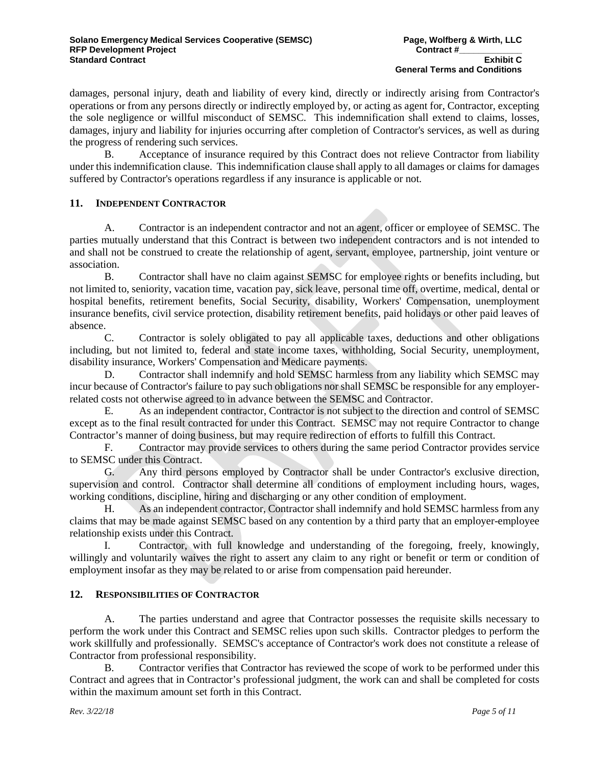damages, personal injury, death and liability of every kind, directly or indirectly arising from Contractor's operations or from any persons directly or indirectly employed by, or acting as agent for, Contractor, excepting the sole negligence or willful misconduct of SEMSC. This indemnification shall extend to claims, losses, damages, injury and liability for injuries occurring after completion of Contractor's services, as well as during the progress of rendering such services.

B. Acceptance of insurance required by this Contract does not relieve Contractor from liability under this indemnification clause. This indemnification clause shall apply to all damages or claims for damages suffered by Contractor's operations regardless if any insurance is applicable or not.

# **11. INDEPENDENT CONTRACTOR**

A. Contractor is an independent contractor and not an agent, officer or employee of SEMSC. The parties mutually understand that this Contract is between two independent contractors and is not intended to and shall not be construed to create the relationship of agent, servant, employee, partnership, joint venture or association.

B. Contractor shall have no claim against SEMSC for employee rights or benefits including, but not limited to, seniority, vacation time, vacation pay, sick leave, personal time off, overtime, medical, dental or hospital benefits, retirement benefits, Social Security, disability, Workers' Compensation, unemployment insurance benefits, civil service protection, disability retirement benefits, paid holidays or other paid leaves of absence.

C. Contractor is solely obligated to pay all applicable taxes, deductions and other obligations including, but not limited to, federal and state income taxes, withholding, Social Security, unemployment, disability insurance, Workers' Compensation and Medicare payments.

D. Contractor shall indemnify and hold SEMSC harmless from any liability which SEMSC may incur because of Contractor's failure to pay such obligations nor shall SEMSC be responsible for any employerrelated costs not otherwise agreed to in advance between the SEMSC and Contractor.

E. As an independent contractor, Contractor is not subject to the direction and control of SEMSC except as to the final result contracted for under this Contract. SEMSC may not require Contractor to change Contractor's manner of doing business, but may require redirection of efforts to fulfill this Contract.

F. Contractor may provide services to others during the same period Contractor provides service to SEMSC under this Contract.

G. Any third persons employed by Contractor shall be under Contractor's exclusive direction, supervision and control. Contractor shall determine all conditions of employment including hours, wages, working conditions, discipline, hiring and discharging or any other condition of employment.

H. As an independent contractor, Contractor shall indemnify and hold SEMSC harmless from any claims that may be made against SEMSC based on any contention by a third party that an employer-employee relationship exists under this Contract.

I. Contractor, with full knowledge and understanding of the foregoing, freely, knowingly, willingly and voluntarily waives the right to assert any claim to any right or benefit or term or condition of employment insofar as they may be related to or arise from compensation paid hereunder.

#### **12. RESPONSIBILITIES OF CONTRACTOR**

A. The parties understand and agree that Contractor possesses the requisite skills necessary to perform the work under this Contract and SEMSC relies upon such skills. Contractor pledges to perform the work skillfully and professionally. SEMSC's acceptance of Contractor's work does not constitute a release of Contractor from professional responsibility.

B. Contractor verifies that Contractor has reviewed the scope of work to be performed under this Contract and agrees that in Contractor's professional judgment, the work can and shall be completed for costs within the maximum amount set forth in this Contract.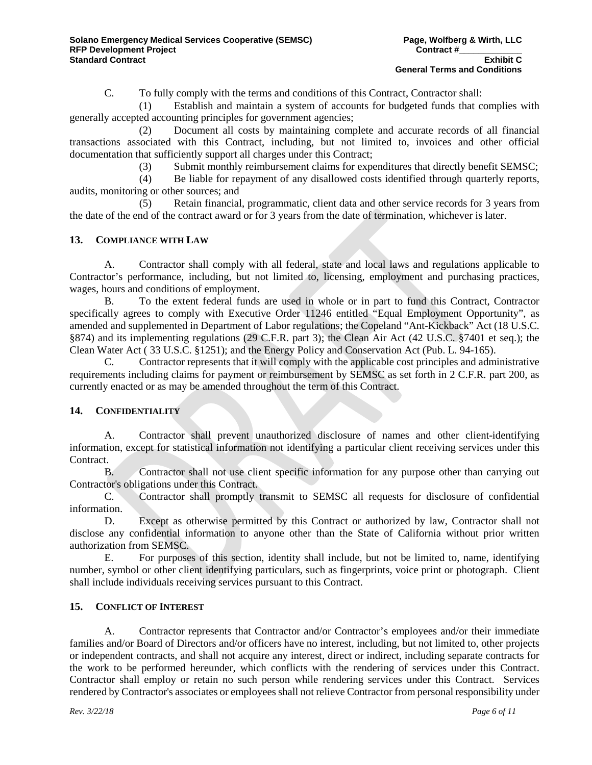C. To fully comply with the terms and conditions of this Contract, Contractor shall:

(1) Establish and maintain a system of accounts for budgeted funds that complies with generally accepted accounting principles for government agencies;

(2) Document all costs by maintaining complete and accurate records of all financial transactions associated with this Contract, including, but not limited to, invoices and other official documentation that sufficiently support all charges under this Contract;

(3) Submit monthly reimbursement claims for expenditures that directly benefit SEMSC;

(4) Be liable for repayment of any disallowed costs identified through quarterly reports, audits, monitoring or other sources; and

(5) Retain financial, programmatic, client data and other service records for 3 years from the date of the end of the contract award or for 3 years from the date of termination, whichever is later.

### **13. COMPLIANCE WITH LAW**

A. Contractor shall comply with all federal, state and local laws and regulations applicable to Contractor's performance, including, but not limited to, licensing, employment and purchasing practices, wages, hours and conditions of employment.

B. To the extent federal funds are used in whole or in part to fund this Contract, Contractor specifically agrees to comply with Executive Order 11246 entitled "Equal Employment Opportunity", as amended and supplemented in Department of Labor regulations; the Copeland "Ant-Kickback" Act (18 U.S.C. §874) and its implementing regulations (29 C.F.R. part 3); the Clean Air Act (42 U.S.C. §7401 et seq.); the Clean Water Act ( 33 U.S.C. §1251); and the Energy Policy and Conservation Act (Pub. L. 94-165).

C. Contractor represents that it will comply with the applicable cost principles and administrative requirements including claims for payment or reimbursement by SEMSC as set forth in 2 C.F.R. part 200, as currently enacted or as may be amended throughout the term of this Contract.

# **14. CONFIDENTIALITY**

A. Contractor shall prevent unauthorized disclosure of names and other client-identifying information, except for statistical information not identifying a particular client receiving services under this Contract.

B. Contractor shall not use client specific information for any purpose other than carrying out Contractor's obligations under this Contract.

C. Contractor shall promptly transmit to SEMSC all requests for disclosure of confidential information.

D. Except as otherwise permitted by this Contract or authorized by law, Contractor shall not disclose any confidential information to anyone other than the State of California without prior written authorization from SEMSC.

E. For purposes of this section, identity shall include, but not be limited to, name, identifying number, symbol or other client identifying particulars, such as fingerprints, voice print or photograph. Client shall include individuals receiving services pursuant to this Contract.

### **15. CONFLICT OF INTEREST**

A. Contractor represents that Contractor and/or Contractor's employees and/or their immediate families and/or Board of Directors and/or officers have no interest, including, but not limited to, other projects or independent contracts, and shall not acquire any interest, direct or indirect, including separate contracts for the work to be performed hereunder, which conflicts with the rendering of services under this Contract. Contractor shall employ or retain no such person while rendering services under this Contract. Services rendered by Contractor's associates or employees shall not relieve Contractor from personal responsibility under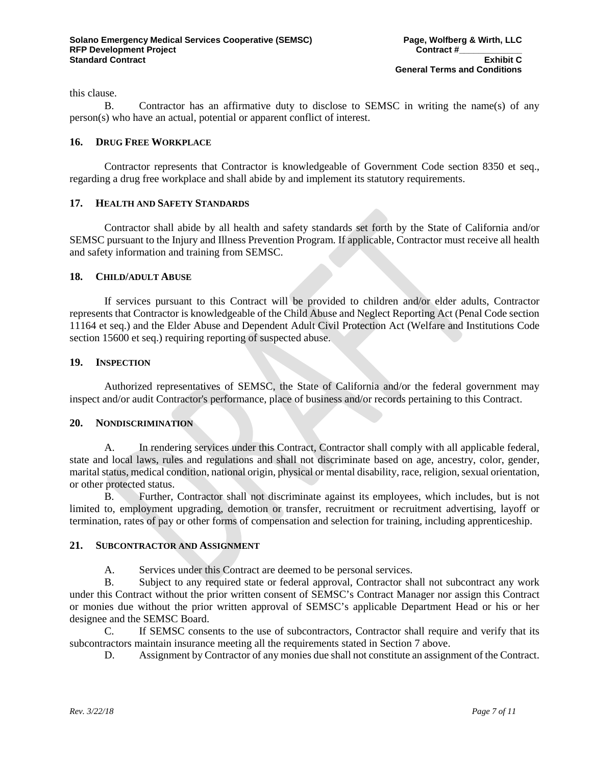this clause.

B. Contractor has an affirmative duty to disclose to SEMSC in writing the name(s) of any person(s) who have an actual, potential or apparent conflict of interest.

#### **16. DRUG FREE WORKPLACE**

Contractor represents that Contractor is knowledgeable of Government Code section 8350 et seq., regarding a drug free workplace and shall abide by and implement its statutory requirements.

### **17. HEALTH AND SAFETY STANDARDS**

Contractor shall abide by all health and safety standards set forth by the State of California and/or SEMSC pursuant to the Injury and Illness Prevention Program. If applicable, Contractor must receive all health and safety information and training from SEMSC.

### **18. CHILD/ADULT ABUSE**

If services pursuant to this Contract will be provided to children and/or elder adults, Contractor represents that Contractor is knowledgeable of the Child Abuse and Neglect Reporting Act (Penal Code section 11164 et seq.) and the Elder Abuse and Dependent Adult Civil Protection Act (Welfare and Institutions Code section 15600 et seq.) requiring reporting of suspected abuse.

#### **19. INSPECTION**

Authorized representatives of SEMSC, the State of California and/or the federal government may inspect and/or audit Contractor's performance, place of business and/or records pertaining to this Contract.

#### **20. NONDISCRIMINATION**

A. In rendering services under this Contract, Contractor shall comply with all applicable federal, state and local laws, rules and regulations and shall not discriminate based on age, ancestry, color, gender, marital status, medical condition, national origin, physical or mental disability, race, religion, sexual orientation, or other protected status.

B. Further, Contractor shall not discriminate against its employees, which includes, but is not limited to, employment upgrading, demotion or transfer, recruitment or recruitment advertising, layoff or termination, rates of pay or other forms of compensation and selection for training, including apprenticeship.

# **21. SUBCONTRACTOR AND ASSIGNMENT**

A. Services under this Contract are deemed to be personal services.

B. Subject to any required state or federal approval, Contractor shall not subcontract any work under this Contract without the prior written consent of SEMSC's Contract Manager nor assign this Contract or monies due without the prior written approval of SEMSC's applicable Department Head or his or her designee and the SEMSC Board.

C. If SEMSC consents to the use of subcontractors, Contractor shall require and verify that its subcontractors maintain insurance meeting all the requirements stated in Section 7 above.

D. Assignment by Contractor of any monies due shall not constitute an assignment of the Contract.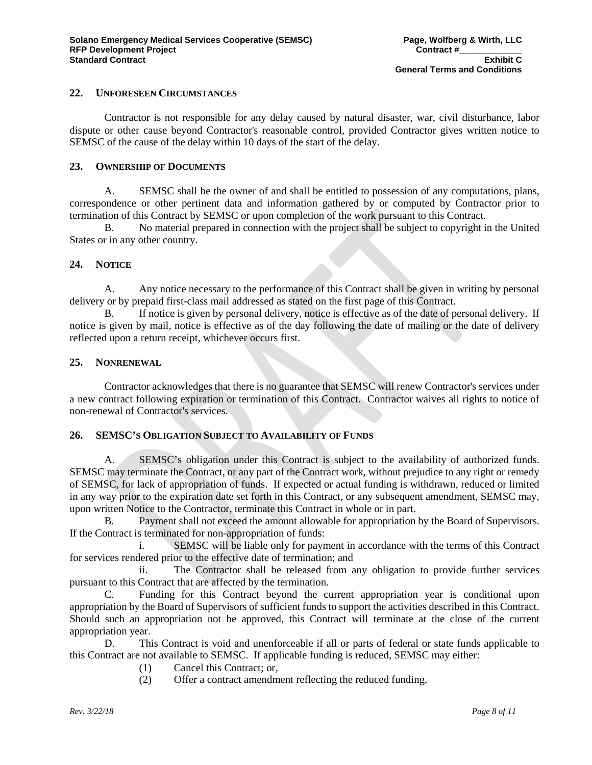#### **22. UNFORESEEN CIRCUMSTANCES**

Contractor is not responsible for any delay caused by natural disaster, war, civil disturbance, labor dispute or other cause beyond Contractor's reasonable control, provided Contractor gives written notice to SEMSC of the cause of the delay within 10 days of the start of the delay.

#### **23. OWNERSHIP OF DOCUMENTS**

A. SEMSC shall be the owner of and shall be entitled to possession of any computations, plans, correspondence or other pertinent data and information gathered by or computed by Contractor prior to termination of this Contract by SEMSC or upon completion of the work pursuant to this Contract.

B. No material prepared in connection with the project shall be subject to copyright in the United States or in any other country.

#### **24. NOTICE**

A. Any notice necessary to the performance of this Contract shall be given in writing by personal delivery or by prepaid first-class mail addressed as stated on the first page of this Contract.

B. If notice is given by personal delivery, notice is effective as of the date of personal delivery. If notice is given by mail, notice is effective as of the day following the date of mailing or the date of delivery reflected upon a return receipt, whichever occurs first.

#### **25. NONRENEWAL**

Contractor acknowledges that there is no guarantee that SEMSC will renew Contractor's services under a new contract following expiration or termination of this Contract. Contractor waives all rights to notice of non-renewal of Contractor's services.

# **26. SEMSC'S OBLIGATION SUBJECT TO AVAILABILITY OF FUNDS**

A. SEMSC's obligation under this Contract is subject to the availability of authorized funds. SEMSC may terminate the Contract, or any part of the Contract work, without prejudice to any right or remedy of SEMSC, for lack of appropriation of funds. If expected or actual funding is withdrawn, reduced or limited in any way prior to the expiration date set forth in this Contract, or any subsequent amendment, SEMSC may, upon written Notice to the Contractor, terminate this Contract in whole or in part.

B. Payment shall not exceed the amount allowable for appropriation by the Board of Supervisors. If the Contract is terminated for non-appropriation of funds:

i. SEMSC will be liable only for payment in accordance with the terms of this Contract for services rendered prior to the effective date of termination; and

ii. The Contractor shall be released from any obligation to provide further services pursuant to this Contract that are affected by the termination.

C. Funding for this Contract beyond the current appropriation year is conditional upon appropriation by the Board of Supervisors of sufficient funds to support the activities described in this Contract. Should such an appropriation not be approved, this Contract will terminate at the close of the current appropriation year.

D. This Contract is void and unenforceable if all or parts of federal or state funds applicable to this Contract are not available to SEMSC. If applicable funding is reduced, SEMSC may either:

- (1) Cancel this Contract; or,
- (2) Offer a contract amendment reflecting the reduced funding.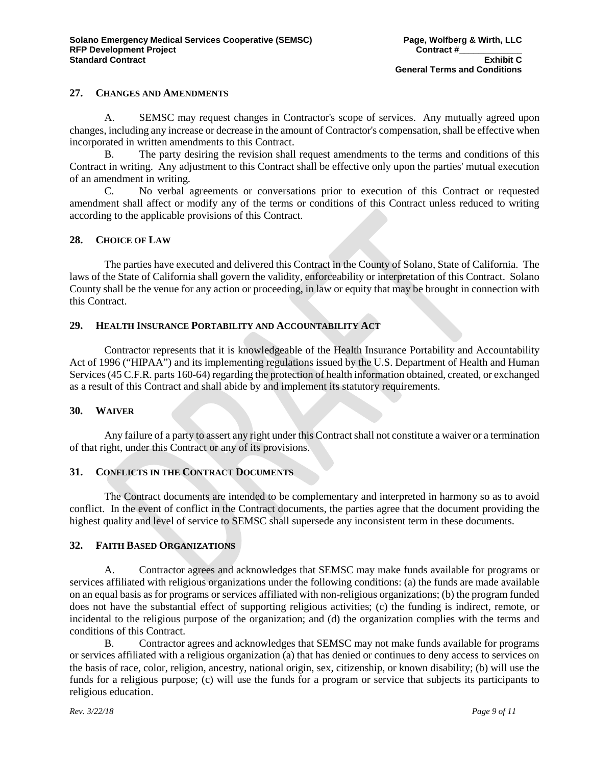#### **27. CHANGES AND AMENDMENTS**

A. SEMSC may request changes in Contractor's scope of services. Any mutually agreed upon changes, including any increase or decrease in the amount of Contractor's compensation, shall be effective when incorporated in written amendments to this Contract.

B. The party desiring the revision shall request amendments to the terms and conditions of this Contract in writing. Any adjustment to this Contract shall be effective only upon the parties' mutual execution of an amendment in writing.

C. No verbal agreements or conversations prior to execution of this Contract or requested amendment shall affect or modify any of the terms or conditions of this Contract unless reduced to writing according to the applicable provisions of this Contract.

### **28. CHOICE OF LAW**

The parties have executed and delivered this Contract in the County of Solano, State of California. The laws of the State of California shall govern the validity, enforceability or interpretation of this Contract. Solano County shall be the venue for any action or proceeding, in law or equity that may be brought in connection with this Contract.

### **29. HEALTH INSURANCE PORTABILITY AND ACCOUNTABILITY ACT**

Contractor represents that it is knowledgeable of the Health Insurance Portability and Accountability Act of 1996 ("HIPAA") and its implementing regulations issued by the U.S. Department of Health and Human Services (45 C.F.R. parts 160-64) regarding the protection of health information obtained, created, or exchanged as a result of this Contract and shall abide by and implement its statutory requirements.

#### **30. WAIVER**

Any failure of a party to assert any right under this Contract shall not constitute a waiver or a termination of that right, under this Contract or any of its provisions.

# **31. CONFLICTS IN THE CONTRACT DOCUMENTS**

The Contract documents are intended to be complementary and interpreted in harmony so as to avoid conflict. In the event of conflict in the Contract documents, the parties agree that the document providing the highest quality and level of service to SEMSC shall supersede any inconsistent term in these documents.

#### **32. FAITH BASED ORGANIZATIONS**

A. Contractor agrees and acknowledges that SEMSC may make funds available for programs or services affiliated with religious organizations under the following conditions: (a) the funds are made available on an equal basis as for programs or services affiliated with non-religious organizations; (b) the program funded does not have the substantial effect of supporting religious activities; (c) the funding is indirect, remote, or incidental to the religious purpose of the organization; and (d) the organization complies with the terms and conditions of this Contract.

B. Contractor agrees and acknowledges that SEMSC may not make funds available for programs or services affiliated with a religious organization (a) that has denied or continues to deny access to services on the basis of race, color, religion, ancestry, national origin, sex, citizenship, or known disability; (b) will use the funds for a religious purpose; (c) will use the funds for a program or service that subjects its participants to religious education.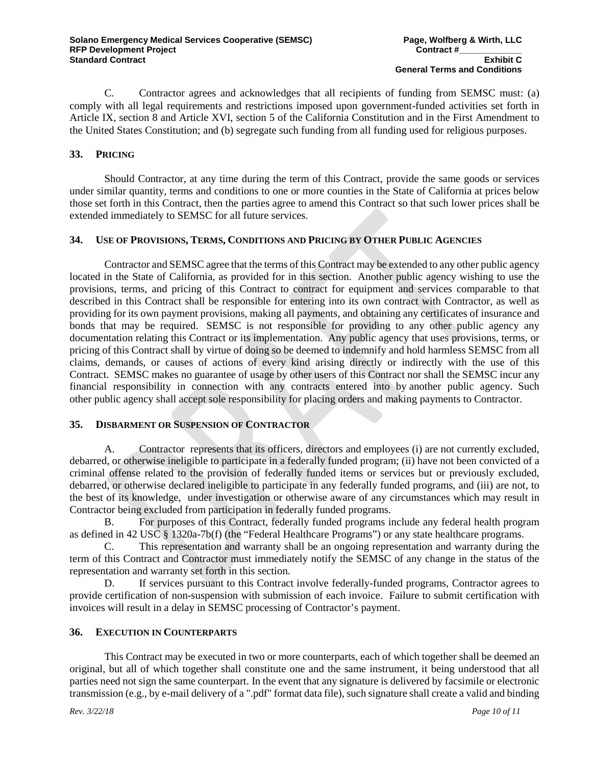C. Contractor agrees and acknowledges that all recipients of funding from SEMSC must: (a) comply with all legal requirements and restrictions imposed upon government-funded activities set forth in Article IX, section 8 and Article XVI, section 5 of the California Constitution and in the First Amendment to the United States Constitution; and (b) segregate such funding from all funding used for religious purposes.

# **33. PRICING**

Should Contractor, at any time during the term of this Contract, provide the same goods or services under similar quantity, terms and conditions to one or more counties in the State of California at prices below those set forth in this Contract, then the parties agree to amend this Contract so that such lower prices shall be extended immediately to SEMSC for all future services.

### **34. USE OF PROVISIONS, TERMS, CONDITIONS AND PRICING BY OTHER PUBLIC AGENCIES**

Contractor and SEMSC agree that the terms of this Contract may be extended to any other public agency located in the State of California, as provided for in this section. Another public agency wishing to use the provisions, terms, and pricing of this Contract to contract for equipment and services comparable to that described in this Contract shall be responsible for entering into its own contract with Contractor, as well as providing for its own payment provisions, making all payments, and obtaining any certificates of insurance and bonds that may be required. SEMSC is not responsible for providing to any other public agency any documentation relating this Contract or its implementation. Any public agency that uses provisions, terms, or pricing of this Contract shall by virtue of doing so be deemed to indemnify and hold harmless SEMSC from all claims, demands, or causes of actions of every kind arising directly or indirectly with the use of this Contract. SEMSC makes no guarantee of usage by other users of this Contract nor shall the SEMSC incur any financial responsibility in connection with any contracts entered into by another public agency. Such other public agency shall accept sole responsibility for placing orders and making payments to Contractor.

# **35. DISBARMENT OR SUSPENSION OF CONTRACTOR**

A. Contractor represents that its officers, directors and employees (i) are not currently excluded, debarred, or otherwise ineligible to participate in a federally funded program; (ii) have not been convicted of a criminal offense related to the provision of federally funded items or services but or previously excluded, debarred, or otherwise declared ineligible to participate in any federally funded programs, and (iii) are not, to the best of its knowledge, under investigation or otherwise aware of any circumstances which may result in Contractor being excluded from participation in federally funded programs.

B. For purposes of this Contract, federally funded programs include any federal health program as defined in 42 USC § 1320a-7b(f) (the "Federal Healthcare Programs") or any state healthcare programs.

C. This representation and warranty shall be an ongoing representation and warranty during the term of this Contract and Contractor must immediately notify the SEMSC of any change in the status of the representation and warranty set forth in this section.

D. If services pursuant to this Contract involve federally-funded programs, Contractor agrees to provide certification of non-suspension with submission of each invoice. Failure to submit certification with invoices will result in a delay in SEMSC processing of Contractor's payment.

### **36. EXECUTION IN COUNTERPARTS**

This Contract may be executed in two or more counterparts, each of which together shall be deemed an original, but all of which together shall constitute one and the same instrument, it being understood that all parties need not sign the same counterpart. In the event that any signature is delivered by facsimile or electronic transmission (e.g., by e-mail delivery of a ".pdf" format data file), such signature shall create a valid and binding